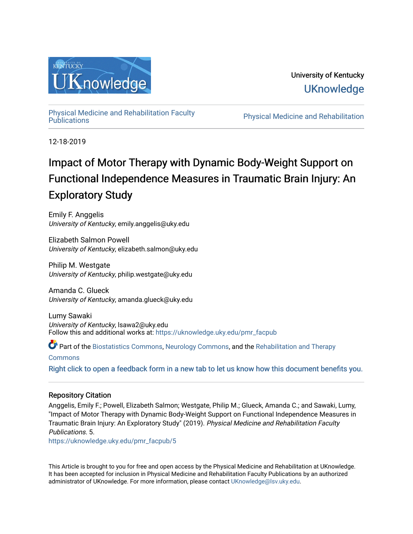

University of Kentucky **UKnowledge** 

[Physical Medicine and Rehabilitation Faculty](https://uknowledge.uky.edu/pmr_facpub) 

Physical Medicine and Rehabilitation

12-18-2019

## Impact of Motor Therapy with Dynamic Body-Weight Support on Functional Independence Measures in Traumatic Brain Injury: An Exploratory Study

Emily F. Anggelis University of Kentucky, emily.anggelis@uky.edu

Elizabeth Salmon Powell University of Kentucky, elizabeth.salmon@uky.edu

Philip M. Westgate University of Kentucky, philip.westgate@uky.edu

Amanda C. Glueck University of Kentucky, amanda.glueck@uky.edu

Lumy Sawaki University of Kentucky, lsawa2@uky.edu Follow this and additional works at: [https://uknowledge.uky.edu/pmr\\_facpub](https://uknowledge.uky.edu/pmr_facpub?utm_source=uknowledge.uky.edu%2Fpmr_facpub%2F5&utm_medium=PDF&utm_campaign=PDFCoverPages) 

Part of the [Biostatistics Commons,](http://network.bepress.com/hgg/discipline/210?utm_source=uknowledge.uky.edu%2Fpmr_facpub%2F5&utm_medium=PDF&utm_campaign=PDFCoverPages) [Neurology Commons](http://network.bepress.com/hgg/discipline/692?utm_source=uknowledge.uky.edu%2Fpmr_facpub%2F5&utm_medium=PDF&utm_campaign=PDFCoverPages), and the [Rehabilitation and Therapy](http://network.bepress.com/hgg/discipline/749?utm_source=uknowledge.uky.edu%2Fpmr_facpub%2F5&utm_medium=PDF&utm_campaign=PDFCoverPages) 

[Commons](http://network.bepress.com/hgg/discipline/749?utm_source=uknowledge.uky.edu%2Fpmr_facpub%2F5&utm_medium=PDF&utm_campaign=PDFCoverPages)

[Right click to open a feedback form in a new tab to let us know how this document benefits you.](https://uky.az1.qualtrics.com/jfe/form/SV_9mq8fx2GnONRfz7)

### Repository Citation

Anggelis, Emily F.; Powell, Elizabeth Salmon; Westgate, Philip M.; Glueck, Amanda C.; and Sawaki, Lumy, "Impact of Motor Therapy with Dynamic Body-Weight Support on Functional Independence Measures in Traumatic Brain Injury: An Exploratory Study" (2019). Physical Medicine and Rehabilitation Faculty Publications. 5.

[https://uknowledge.uky.edu/pmr\\_facpub/5](https://uknowledge.uky.edu/pmr_facpub/5?utm_source=uknowledge.uky.edu%2Fpmr_facpub%2F5&utm_medium=PDF&utm_campaign=PDFCoverPages)

This Article is brought to you for free and open access by the Physical Medicine and Rehabilitation at UKnowledge. It has been accepted for inclusion in Physical Medicine and Rehabilitation Faculty Publications by an authorized administrator of UKnowledge. For more information, please contact [UKnowledge@lsv.uky.edu](mailto:UKnowledge@lsv.uky.edu).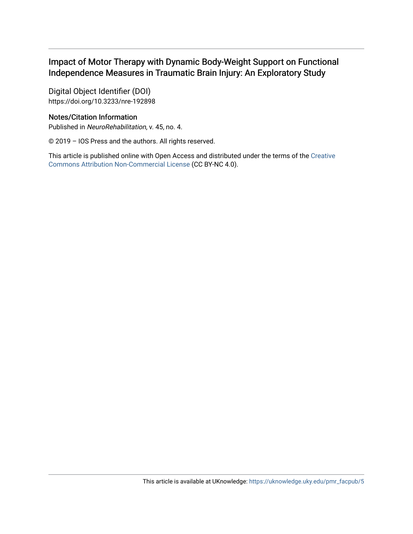## Impact of Motor Therapy with Dynamic Body-Weight Support on Functional Independence Measures in Traumatic Brain Injury: An Exploratory Study

Digital Object Identifier (DOI) https://doi.org/10.3233/nre-192898

## Notes/Citation Information

Published in NeuroRehabilitation, v. 45, no. 4.

© 2019 – IOS Press and the authors. All rights reserved.

This article is published online with Open Access and distributed under the terms of the [Creative](https://creativecommons.org/licenses/by-nc/4.0/) [Commons Attribution Non-Commercial License](https://creativecommons.org/licenses/by-nc/4.0/) (CC BY-NC 4.0).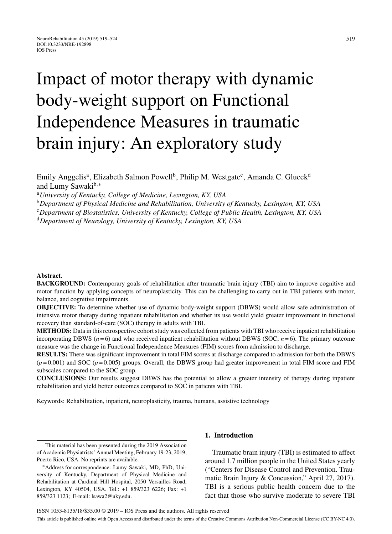# Impact of motor therapy with dynamic body-weight support on Functional Independence Measures in traumatic brain injury: An exploratory study

Emily Anggelis<sup>a</sup>, Elizabeth Salmon Powell<sup>b</sup>, Philip M. Westgate<sup>c</sup>, Amanda C. Glueck<sup>d</sup> and Lumy Sawaki<sup>b,∗</sup>

<sup>a</sup>*University of Kentucky, College of Medicine, Lexington, KY, USA*

<sup>b</sup>*Department of Physical Medicine and Rehabilitation, University of Kentucky, Lexington, KY, USA*

<sup>c</sup>*Department of Biostatistics, University of Kentucky, College of Public Health, Lexington, KY, USA*

<sup>d</sup>*Department of Neurology, University of Kentucky, Lexington, KY, USA*

#### **Abstract**.

**BACKGROUND:** Contemporary goals of rehabilitation after traumatic brain injury (TBI) aim to improve cognitive and motor function by applying concepts of neuroplasticity. This can be challenging to carry out in TBI patients with motor, balance, and cognitive impairments.

**OBJECTIVE:** To determine whether use of dynamic body-weight support (DBWS) would allow safe administration of intensive motor therapy during inpatient rehabilitation and whether its use would yield greater improvement in functional recovery than standard-of-care (SOC) therapy in adults with TBI.

**METHODS:** Data in this retrospective cohort study was collected from patients with TBI who receive inpatient rehabilitation incorporating DBWS  $(n=6)$  and who received inpatient rehabilitation without DBWS (SOC,  $n=6$ ). The primary outcome measure was the change in Functional Independence Measures (FIM) scores from admission to discharge.

**RESULTS:** There was significant improvement in total FIM scores at discharge compared to admission for both the DBWS  $(p=0.001)$  and SOC ( $p=0.005$ ) groups. Overall, the DBWS group had greater improvement in total FIM score and FIM subscales compared to the SOC group.

**CONCLUSIONS:** Our results suggest DBWS has the potential to allow a greater intensity of therapy during inpatient rehabilitation and yield better outcomes compared to SOC in patients with TBI.

Keywords: Rehabilitation, inpatient, neuroplasticity, trauma, humans, assistive technology

This material has been presented during the 2019 Association of Academic Physiatrists' Annual Meeting, February 19-23, 2019, Puerto Rico, USA. No reprints are available.

#### **1. Introduction**

Traumatic brain injury (TBI) is estimated to affect around 1.7 million people in the United States yearly ("Centers for Disease Control and Prevention. Traumatic Brain Injury & Concussion," April 27, 2017). TBI is a serious public health concern due to the fact that those who survive moderate to severe TBI

<sup>∗</sup>Address for correspondence: Lumy Sawaki, MD, PhD, University of Kentucky, Department of Physical Medicine and Rehabilitation at Cardinal Hill Hospital, 2050 Versailles Road, Lexington, KY 40504, USA. Tel.: +1 859/323 6226; Fax: +1 859/323 1123; E-mail: [lsawa2@uky.edu](mailto:lsawa2@uky.edu).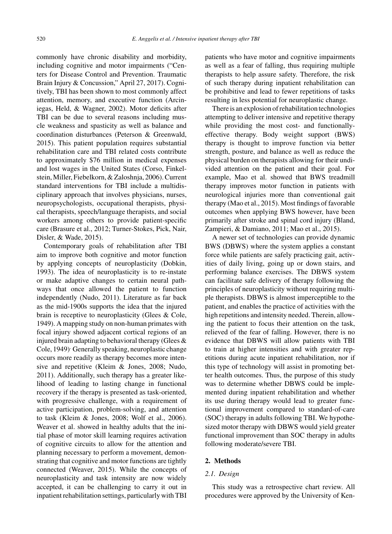commonly have chronic disability and morbidity, including cognitive and motor impairments ("Centers for Disease Control and Prevention. Traumatic Brain Injury & Concussion," April 27, 2017). Cognitively, TBI has been shown to most commonly affect attention, memory, and executive function (Arciniegas, Held, & Wagner, 2002). Motor deficits after TBI can be due to several reasons including muscle weakness and spasticity as well as balance and coordination disturbances (Peterson & Greenwald, 2015). This patient population requires substantial rehabilitation care and TBI related costs contribute to approximately \$76 million in medical expenses and lost wages in the United States (Corso, Finkelstein, Miller, Fiebelkorn, & Zaloshnja, 2006). Current standard interventions for TBI include a multidisciplinary approach that involves physicians, nurses, neuropsychologists, occupational therapists, physical therapists, speech/language therapists, and social workers among others to provide patient-specific care (Brasure et al., 2012; Turner-Stokes, Pick, Nair, Disler, & Wade, 2015).

Contemporary goals of rehabilitation after TBI aim to improve both cognitive and motor function by applying concepts of neuroplasticity (Dobkin, 1993). The idea of neuroplasticity is to re-instate or make adaptive changes to certain neural pathways that once allowed the patient to function independently (Nudo, 2011). Literature as far back as the mid-1900s supports the idea that the injured brain is receptive to neuroplasticity (Glees & Cole, 1949). A mapping study on non-human primates with focal injury showed adjacent cortical regions of an injured brain adapting to behavioral therapy (Glees  $\&$ Cole, 1949). Generally speaking, neuroplastic change occurs more readily as therapy becomes more intensive and repetitive (Kleim & Jones, 2008; Nudo, 2011). Additionally, such therapy has a greater likelihood of leading to lasting change in functional recovery if the therapy is presented as task-oriented, with progressive challenge, with a requirement of active participation, problem-solving, and attention to task (Kleim & Jones, 2008; Wolf et al., 2006). Weaver et al. showed in healthy adults that the initial phase of motor skill learning requires activation of cognitive circuits to allow for the attention and planning necessary to perform a movement, demonstrating that cognitive and motor functions are tightly connected (Weaver, 2015). While the concepts of neuroplasticity and task intensity are now widely accepted, it can be challenging to carry it out in inpatient rehabilitation settings, particularly with TBI

patients who have motor and cognitive impairments as well as a fear of falling, thus requiring multiple therapists to help assure safety. Therefore, the risk of such therapy during inpatient rehabilitation can be prohibitive and lead to fewer repetitions of tasks resulting in less potential for neuroplastic change.

There is an explosion of rehabilitation technologies attempting to deliver intensive and repetitive therapy while providing the most cost- and functionallyeffective therapy. Body weight support (BWS) therapy is thought to improve function via better strength, posture, and balance as well as reduce the physical burden on therapists allowing for their undivided attention on the patient and their goal. For example, Mao et al. showed that BWS treadmill therapy improves motor function in patients with neurological injuries more than conventional gait therapy (Mao et al., 2015). Most findings of favorable outcomes when applying BWS however, have been primarily after stroke and spinal cord injury (Bland, Zampieri, & Damiano, 2011; Mao et al., 2015).

A newer set of technologies can provide dynamic BWS (DBWS) where the system applies a constant force while patients are safely practicing gait, activities of daily living, going up or down stairs, and performing balance exercises. The DBWS system can facilitate safe delivery of therapy following the principles of neuroplasticity without requiring multiple therapists. DBWS is almost imperceptible to the patient, and enables the practice of activities with the high repetitions and intensity needed. Therein, allowing the patient to focus their attention on the task, relieved of the fear of falling. However, there is no evidence that DBWS will allow patients with TBI to train at higher intensities and with greater repetitions during acute inpatient rehabilitation, nor if this type of technology will assist in promoting better health outcomes. Thus, the purpose of this study was to determine whether DBWS could be implemented during inpatient rehabilitation and whether its use during therapy would lead to greater functional improvement compared to standard-of-care (SOC) therapy in adults following TBI. We hypothesized motor therapy with DBWS would yield greater functional improvement than SOC therapy in adults following moderate/severe TBI.

#### **2. Methods**

#### *2.1. Design*

This study was a retrospective chart review. All procedures were approved by the University of Ken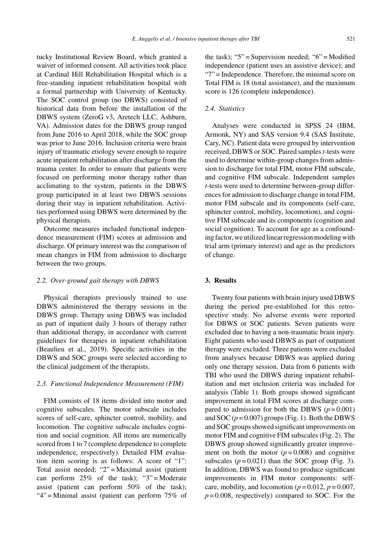tucky Institutional Review Board, which granted a waiver of informed consent. All activities took place at Cardinal Hill Rehabilitation Hospital which is a free-standing inpatient rehabilitation hospital with a formal partnership with University of Kentucky. The SOC control group (no DBWS) consisted of historical data from before the installation of the DBWS system (ZeroG v3, Aretech LLC, Ashburn, VA). Admission dates for the DBWS group ranged from June 2016 to April 2018, while the SOC group was prior to June 2016. Inclusion criteria were brain injury of traumatic etiology severe enough to require acute inpatient rehabilitation after discharge from the trauma center. In order to ensure that patients were focused on performing motor therapy rather than acclimating to the system, patients in the DBWS group participated in at least two DBWS sessions during their stay in inpatient rehabilitation. Activities performed using DBWS were determined by the physical therapists.

Outcome measures included functional independence measurement (FIM) scores at admission and discharge. Of primary interest was the comparison of mean changes in FIM from admission to discharge between the two groups.

#### *2.2. Over-ground gait therapy with DBWS*

Physical therapists previously trained to use DBWS administered the therapy sessions in the DBWS group. Therapy using DBWS was included as part of inpatient daily 3 hours of therapy rather than additional therapy, in accordance with current guidelines for therapies in inpatient rehabilitation (Beaulieu et al., 2019). Specific activities in the DBWS and SOC groups were selected according to the clinical judgement of the therapists.

#### *2.3. Functional Independence Measurement (FIM)*

FIM consists of 18 items divided into motor and cognitive subscales. The motor subscale includes scores of self-care, sphincter control, mobility, and locomotion. The cognitive subscale includes cognition and social cognition. All items are numerically scored from 1 to 7 (complete dependence to complete independence, respectively). Detailed FIM evaluation item scoring is as follows: A score of "1": Total assist needed; "2" = Maximal assist (patient can perform  $25\%$  of the task); "3" = Moderate assist (patient can perform 50% of the task); "4" = Minimal assist (patient can perform 75% of the task); "5" = Supervision needed; " $6$ " = Modified independence (patient uses an assistive device); and "7" = Independence. Therefore, the minimal score on Total FIM is 18 (total assistance), and the maximum score is 126 (complete independence).

#### *2.4. Statistics*

Analyses were conducted in SPSS 24 (IBM, Armonk, NY) and SAS version 9.4 (SAS Institute, Cary, NC). Patient data were grouped by intervention received, DBWS or SOC. Paired samples*t*-tests were used to determine within-group changes from admission to discharge for total FIM, motor FIM subscale, and cognitive FIM subscale. Independent samples *t*-tests were used to determine between-group differences for admission to discharge change in total FIM, motor FIM subscale and its components (self-care, sphincter control, mobility, locomotion), and cognitive FIM subscale and its components (cognition and social cognition). To account for age as a confounding factor, we utilized linear regression modeling with trial arm (primary interest) and age as the predictors of change.

#### **3. Results**

Twenty four patients with brain injury used DBWS during the period pre-established for this retrospective study. No adverse events were reported for DBWS or SOC patients. Seven patients were excluded due to having a non-traumatic brain injury. Eight patients who used DBWS as part of outpatient therapy were excluded. Three patients were excluded from analyses because DBWS was applied during only one therapy session. Data from 6 patients with TBI who used the DBWS during inpatient rehabilitation and met inclusion criteria was included for analysis (Table 1). Both groups showed significant improvement in total FIM scores at discharge compared to admission for both the DBWS  $(p=0.001)$ and SOC  $(p=0.007)$  groups (Fig. 1). Both the DBWS and SOC groups showed significant improvements on motor FIM and cognitive FIM subscales (Fig. 2). The DBWS group showed significantly greater improvement on both the motor  $(p=0.008)$  and cognitive subscales  $(p=0.021)$  than the SOC group (Fig. 3). In addition, DBWS was found to produce significant improvements in FIM motor components: selfcare, mobility, and locomotion ( $p = 0.012$ ,  $p = 0.007$ ,  $p = 0.008$ , respectively) compared to SOC. For the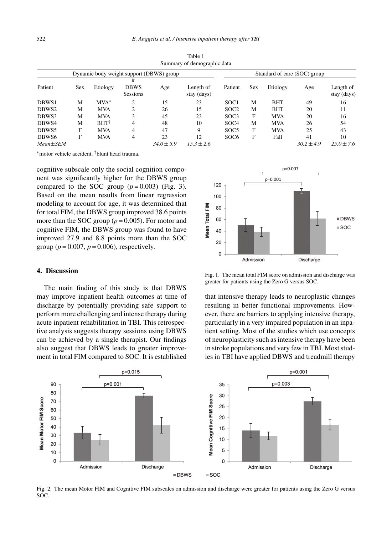| Summary or demograpme data |                                          |                 |                                     |                |                          |                  |                              |            |                |                          |  |
|----------------------------|------------------------------------------|-----------------|-------------------------------------|----------------|--------------------------|------------------|------------------------------|------------|----------------|--------------------------|--|
|                            | Dynamic body weight support (DBWS) group |                 |                                     |                |                          |                  | Standard of care (SOC) group |            |                |                          |  |
| Patient                    | Sex                                      | Etiology        | #<br><b>DBWS</b><br><b>Sessions</b> | Age            | Length of<br>stay (days) | Patient          | Sex                          | Etiology   | Age            | Length of<br>stay (days) |  |
| DBWS1                      | М                                        | $MVA^*$         | ↑                                   | 15             | 23                       | SOC <sub>1</sub> | M                            | <b>BHT</b> | 49             | 16                       |  |
| DBWS2                      | M                                        | <b>MVA</b>      | っ                                   | 26             | 15                       | SOC <sub>2</sub> | M                            | <b>BHT</b> | 20             | 11                       |  |
| DBWS3                      | M                                        | <b>MVA</b>      |                                     | 45             | 23                       | SOC <sub>3</sub> | F                            | <b>MVA</b> | 20             | 16                       |  |
| DBWS4                      | М                                        | $BHT^{\dagger}$ | 4                                   | 48             | 10                       | SOC <sub>4</sub> | M                            | <b>MVA</b> | 26             | 54                       |  |
| DBWS5                      | F                                        | <b>MVA</b>      | 4                                   | 47             | 9                        | SOC <sub>5</sub> | F                            | <b>MVA</b> | 25             | 43                       |  |
| DBWS <sub>6</sub>          | F                                        | <b>MVA</b>      | 4                                   | 23             | 12                       | SOC <sub>6</sub> | F                            | Fall       | 41             | 10                       |  |
| $Mean \pm SEM$             |                                          |                 |                                     | $34.0 \pm 5.9$ | $15.3 \pm 2.6$           |                  |                              |            | $30.2 \pm 4.9$ | $25.0 \pm 7.6$           |  |

Table 1 Summary of demographic data

∗motor vehicle accident. †blunt head trauma.

cognitive subscale only the social cognition component was significantly higher for the DBWS group compared to the SOC group  $(p=0.003)$  (Fig. 3). Based on the mean results from linear regression modeling to account for age, it was determined that for total FIM, the DBWS group improved 38.6 points more than the SOC group ( $p = 0.005$ ). For motor and cognitive FIM, the DBWS group was found to have improved 27.9 and 8.8 points more than the SOC group ( $p = 0.007$ ,  $p = 0.006$ ), respectively.

#### **4. Discussion**

The main finding of this study is that DBWS may improve inpatient health outcomes at time of discharge by potentially providing safe support to perform more challenging and intense therapy during acute inpatient rehabilitation in TBI. This retrospective analysis suggests therapy sessions using DBWS can be achieved by a single therapist. Our findings also suggest that DBWS leads to greater improvement in total FIM compared to SOC. It is established



Fig. 1. The mean total FIM score on admission and discharge was greater for patients using the Zero G versus SOC.

that intensive therapy leads to neuroplastic changes resulting in better functional improvements. However, there are barriers to applying intensive therapy, particularly in a very impaired population in an inpatient setting. Most of the studies which use concepts of neuroplasticity such as intensive therapy have been in stroke populations and very few in TBI. Most studies in TBI have applied DBWS and treadmill therapy



Fig. 2. The mean Motor FIM and Cognitive FIM subscales on admission and discharge were greater for patients using the Zero G versus SOC.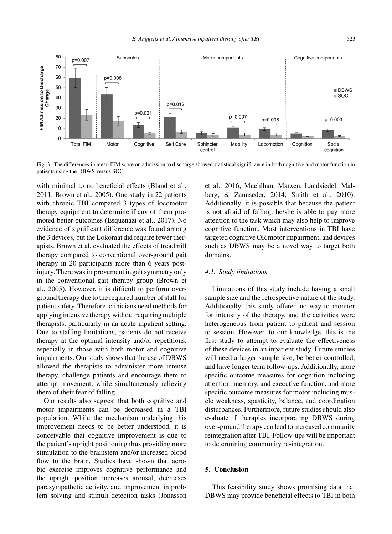

Fig. 3. The differences in mean FIM score on admission to discharge showed statistical significance in both cognitive and motor function in patients using the DBWS versus SOC.

with minimal to no beneficial effects (Bland et al., 2011; Brown et al., 2005). One study in 22 patients with chronic TBI compared 3 types of locomotor therapy equipment to determine if any of them promoted better outcomes (Esquenazi et al., 2017). No evidence of significant difference was found among the 3 devices, but the Lokomat did require fewer therapists. Brown et al. evaluated the effects of treadmill therapy compared to conventional over-ground gait therapy in 20 participants more than 6 years postinjury. There was improvement in gait symmetry only in the conventional gait therapy group (Brown et al., 2005). However, it is difficult to perform overground therapy due to the required number of staff for patient safety. Therefore, clinicians need methods for applying intensive therapy without requiring multiple therapists, particularly in an acute inpatient setting. Due to staffing limitations, patients do not receive therapy at the optimal intensity and/or repetitions, especially in those with both motor and cognitive impairments. Our study shows that the use of DBWS allowed the therapists to administer more intense therapy, challenge patients and encourage them to attempt movement, while simultaneously relieving them of their fear of falling.

Our results also suggest that both cognitive and motor impairments can be decreased in a TBI population. While the mechanism underlying this improvement needs to be better understood, it is conceivable that cognitive improvement is due to the patient's upright positioning thus providing more stimulation to the brainstem and/or increased blood flow to the brain. Studies have shown that aerobic exercise improves cognitive performance and the upright position increases arousal, decreases parasympathetic activity, and improvement in problem solving and stimuli detection tasks (Jonasson

et al., 2016; Muehlhan, Marxen, Landsiedel, Malberg, & Zaunseder, 2014; Smith et al., 2010). Additionally, it is possible that because the patient is not afraid of falling, he/she is able to pay more attention to the task which may also help to improve cognitive function. Most interventions in TBI have targeted cognitive OR motor impairment, and devices such as DBWS may be a novel way to target both domains.

#### *4.1. Study limitations*

Limitations of this study include having a small sample size and the retrospective nature of the study. Additionally, this study offered no way to monitor for intensity of the therapy, and the activities were heterogeneous from patient to patient and session to session. However, to our knowledge, this is the first study to attempt to evaluate the effectiveness of these devices in an inpatient study. Future studies will need a larger sample size, be better controlled, and have longer term follow-ups. Additionally, more specific outcome measures for cognition including attention, memory, and executive function, and more specific outcome measures for motor including muscle weakness, spasticity, balance, and coordination disturbances. Furthermore, future studies should also evaluate if therapies incorporating DBWS during over-ground therapy can lead to increased community reintegration after TBI. Follow-ups will be important to determining community re-integration.

#### **5. Conclusion**

This feasibility study shows promising data that DBWS may provide beneficial effects to TBI in both